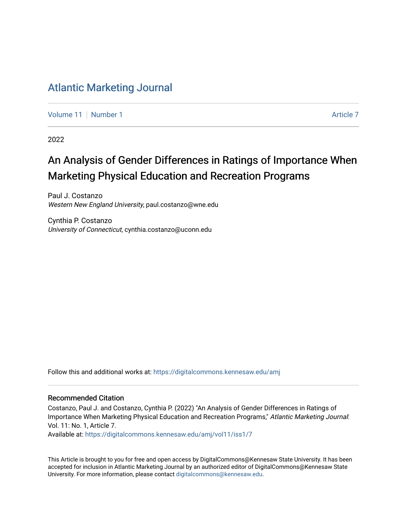## [Atlantic Marketing Journal](https://digitalcommons.kennesaw.edu/amj)

[Volume 11](https://digitalcommons.kennesaw.edu/amj/vol11) | [Number 1](https://digitalcommons.kennesaw.edu/amj/vol11/iss1) [Article 7](https://digitalcommons.kennesaw.edu/amj/vol11/iss1/7) Article 7 Article 7 Article 7 Article 7 Article 7 Article 7 Article 7

2022

# An Analysis of Gender Differences in Ratings of Importance When Marketing Physical Education and Recreation Programs

Paul J. Costanzo Western New England University, paul.costanzo@wne.edu

Cynthia P. Costanzo University of Connecticut, cynthia.costanzo@uconn.edu

Follow this and additional works at: [https://digitalcommons.kennesaw.edu/amj](https://digitalcommons.kennesaw.edu/amj?utm_source=digitalcommons.kennesaw.edu%2Famj%2Fvol11%2Fiss1%2F7&utm_medium=PDF&utm_campaign=PDFCoverPages) 

#### Recommended Citation

Costanzo, Paul J. and Costanzo, Cynthia P. (2022) "An Analysis of Gender Differences in Ratings of Importance When Marketing Physical Education and Recreation Programs," Atlantic Marketing Journal: Vol. 11: No. 1, Article 7.

Available at: [https://digitalcommons.kennesaw.edu/amj/vol11/iss1/7](https://digitalcommons.kennesaw.edu/amj/vol11/iss1/7?utm_source=digitalcommons.kennesaw.edu%2Famj%2Fvol11%2Fiss1%2F7&utm_medium=PDF&utm_campaign=PDFCoverPages) 

This Article is brought to you for free and open access by DigitalCommons@Kennesaw State University. It has been accepted for inclusion in Atlantic Marketing Journal by an authorized editor of DigitalCommons@Kennesaw State University. For more information, please contact [digitalcommons@kennesaw.edu.](mailto:digitalcommons@kennesaw.edu)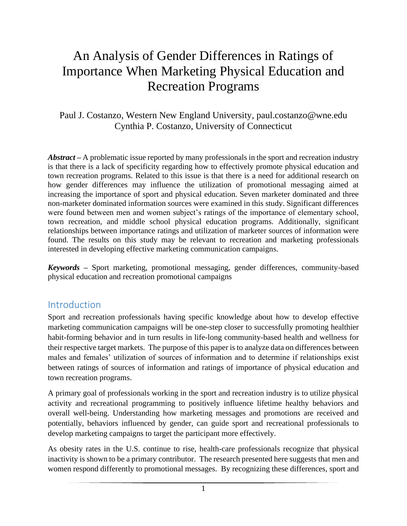# An Analysis of Gender Differences in Ratings of Importance When Marketing Physical Education and Recreation Programs

### Paul J. Costanzo, Western New England University, paul.costanzo@wne.edu Cynthia P. Costanzo, University of Connecticut

*Abstract –* A problematic issue reported by many professionals in the sport and recreation industry is that there is a lack of specificity regarding how to effectively promote physical education and town recreation programs. Related to this issue is that there is a need for additional research on how gender differences may influence the utilization of promotional messaging aimed at increasing the importance of sport and physical education. Seven marketer dominated and three non-marketer dominated information sources were examined in this study. Significant differences were found between men and women subject's ratings of the importance of elementary school, town recreation, and middle school physical education programs. Additionally, significant relationships between importance ratings and utilization of marketer sources of information were found. The results on this study may be relevant to recreation and marketing professionals interested in developing effective marketing communication campaigns.

*Keywords –* Sport marketing, promotional messaging, gender differences, community-based physical education and recreation promotional campaigns

### Introduction

Sport and recreation professionals having specific knowledge about how to develop effective marketing communication campaigns will be one-step closer to successfully promoting healthier habit-forming behavior and in turn results in life-long community-based health and wellness for their respective target markets. The purpose of this paper is to analyze data on differences between males and females' utilization of sources of information and to determine if relationships exist between ratings of sources of information and ratings of importance of physical education and town recreation programs.

A primary goal of professionals working in the sport and recreation industry is to utilize physical activity and recreational programming to positively influence lifetime healthy behaviors and overall well-being. Understanding how marketing messages and promotions are received and potentially, behaviors influenced by gender, can guide sport and recreational professionals to develop marketing campaigns to target the participant more effectively.

As obesity rates in the U.S. continue to rise, health-care professionals recognize that physical inactivity is shown to be a primary contributor. The research presented here suggests that men and women respond differently to promotional messages. By recognizing these differences, sport and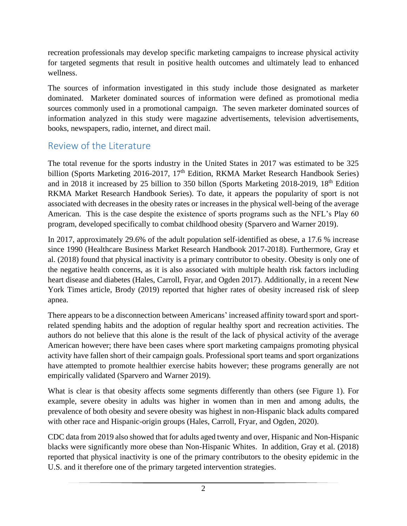recreation professionals may develop specific marketing campaigns to increase physical activity for targeted segments that result in positive health outcomes and ultimately lead to enhanced wellness.

The sources of information investigated in this study include those designated as marketer dominated. Marketer dominated sources of information were defined as promotional media sources commonly used in a promotional campaign. The seven marketer dominated sources of information analyzed in this study were magazine advertisements, television advertisements, books, newspapers, radio, internet, and direct mail.

# Review of the Literature

The total revenue for the sports industry in the United States in 2017 was estimated to be 325 billion (Sports Marketing 2016-2017, 17<sup>th</sup> Edition, RKMA Market Research Handbook Series) and in 2018 it increased by 25 billion to 350 billon (Sports Marketing 2018-2019, 18th Edition RKMA Market Research Handbook Series). To date, it appears the popularity of sport is not associated with decreases in the obesity rates or increases in the physical well-being of the average American. This is the case despite the existence of sports programs such as the NFL's Play 60 program, developed specifically to combat childhood obesity (Sparvero and Warner 2019).

In 2017, approximately 29.6% of the adult population self-identified as obese, a 17.6 % increase since 1990 (Healthcare Business Market Research Handbook 2017-2018). Furthermore, Gray et al. (2018) found that physical inactivity is a primary contributor to obesity. Obesity is only one of the negative health concerns, as it is also associated with multiple health risk factors including heart disease and diabetes (Hales, Carroll, Fryar, and Ogden 2017). Additionally, in a recent New York Times article, Brody (2019) reported that higher rates of obesity increased risk of sleep apnea.

There appears to be a disconnection between Americans' increased affinity toward sport and sportrelated spending habits and the adoption of regular healthy sport and recreation activities. The authors do not believe that this alone is the result of the lack of physical activity of the average American however; there have been cases where sport marketing campaigns promoting physical activity have fallen short of their campaign goals. Professional sport teams and sport organizations have attempted to promote healthier exercise habits however; these programs generally are not empirically validated (Sparvero and Warner 2019).

What is clear is that obesity affects some segments differently than others (see Figure 1). For example, severe obesity in adults was higher in women than in men and among adults, the prevalence of both obesity and severe obesity was highest in non-Hispanic black adults compared with other race and Hispanic-origin groups (Hales, Carroll, Fryar, and Ogden, 2020).

CDC data from 2019 also showed that for adults aged twenty and over, Hispanic and Non-Hispanic blacks were significantly more obese than Non-Hispanic Whites. In addition, Gray et al. (2018) reported that physical inactivity is one of the primary contributors to the obesity epidemic in the U.S. and it therefore one of the primary targeted intervention strategies.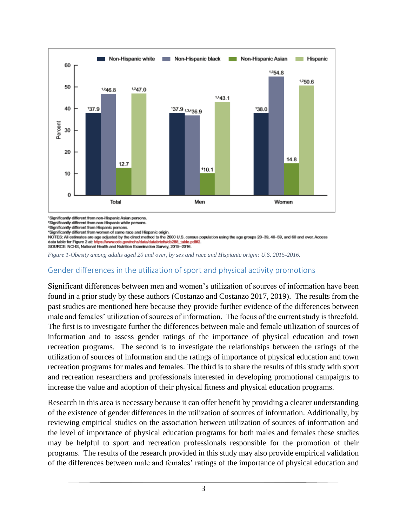

<sup>1</sup>Significantly different from non-Hispanic Asian persons.

<sup>2</sup>Significantly different from non-Hispanic white persons.

<sup>2</sup>Significantly different from Hispanic persons.

<sup>4</sup>Significantly different from women of same race and Hispanic origin.

NOTES: All estimates are age adjusted by the direct method to the 2000 U.S. census population using the age groups 20-39, 40-59, and 60 and over. Access data table for Figure 2 at: h tps://www.cdc.gov/nchs/data/databriefs/db288\_table.pdf#2

SOURCE: NCHS, National Health and Nutrition Examination Survey, 2015-2016.

*Figure 1-Obesity among adults aged 20 and over, by sex and race and Hispianic origin: U.S. 2015-2016.*

#### Gender differences in the utilization of sport and physical activity promotions

Significant differences between men and women's utilization of sources of information have been found in a prior study by these authors (Costanzo and Costanzo 2017, 2019). The results from the past studies are mentioned here because they provide further evidence of the differences between male and females' utilization of sources of information. The focus of the current study is threefold. The first is to investigate further the differences between male and female utilization of sources of information and to assess gender ratings of the importance of physical education and town recreation programs. The second is to investigate the relationships between the ratings of the utilization of sources of information and the ratings of importance of physical education and town recreation programs for males and females. The third is to share the results of this study with sport and recreation researchers and professionals interested in developing promotional campaigns to increase the value and adoption of their physical fitness and physical education programs.

Research in this area is necessary because it can offer benefit by providing a clearer understanding of the existence of gender differences in the utilization of sources of information. Additionally, by reviewing empirical studies on the association between utilization of sources of information and the level of importance of physical education programs for both males and females these studies may be helpful to sport and recreation professionals responsible for the promotion of their programs. The results of the research provided in this study may also provide empirical validation of the differences between male and females' ratings of the importance of physical education and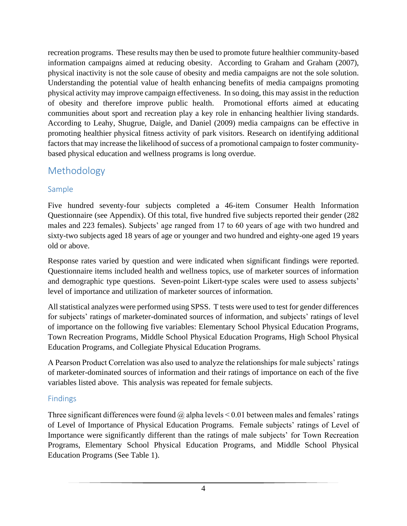recreation programs. These results may then be used to promote future healthier community-based information campaigns aimed at reducing obesity. According to Graham and Graham (2007), physical inactivity is not the sole cause of obesity and media campaigns are not the sole solution. Understanding the potential value of health enhancing benefits of media campaigns promoting physical activity may improve campaign effectiveness. In so doing, this may assist in the reduction of obesity and therefore improve public health. Promotional efforts aimed at educating communities about sport and recreation play a key role in enhancing healthier living standards. According to Leahy, Shugrue, Daigle, and Daniel (2009) media campaigns can be effective in promoting healthier physical fitness activity of park visitors. Research on identifying additional factors that may increase the likelihood of success of a promotional campaign to foster communitybased physical education and wellness programs is long overdue.

# Methodology

#### Sample

Five hundred seventy-four subjects completed a 46-item Consumer Health Information Questionnaire (see Appendix). Of this total, five hundred five subjects reported their gender (282 males and 223 females). Subjects' age ranged from 17 to 60 years of age with two hundred and sixty-two subjects aged 18 years of age or younger and two hundred and eighty-one aged 19 years old or above.

Response rates varied by question and were indicated when significant findings were reported. Questionnaire items included health and wellness topics, use of marketer sources of information and demographic type questions. Seven-point Likert-type scales were used to assess subjects' level of importance and utilization of marketer sources of information.

All statistical analyzes were performed using SPSS. T tests were used to test for gender differences for subjects' ratings of marketer-dominated sources of information, and subjects' ratings of level of importance on the following five variables: Elementary School Physical Education Programs, Town Recreation Programs, Middle School Physical Education Programs, High School Physical Education Programs, and Collegiate Physical Education Programs.

A Pearson Product Correlation was also used to analyze the relationships for male subjects' ratings of marketer-dominated sources of information and their ratings of importance on each of the five variables listed above. This analysis was repeated for female subjects.

### Findings

Three significant differences were found  $\omega$  alpha levels < 0.01 between males and females' ratings of Level of Importance of Physical Education Programs. Female subjects' ratings of Level of Importance were significantly different than the ratings of male subjects' for Town Recreation Programs, Elementary School Physical Education Programs, and Middle School Physical Education Programs (See Table 1).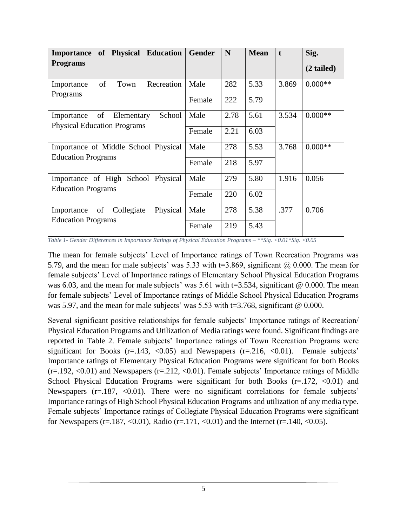| of Physical Education<br><b>Importance</b><br><b>Programs</b>                  | Gender         | N            | <b>Mean</b>  | $\mathbf{t}$ | Sig.<br>$(2 \text{ tailed})$ |
|--------------------------------------------------------------------------------|----------------|--------------|--------------|--------------|------------------------------|
| of<br>Town<br>Recreation<br>Importance<br>Programs                             | Male<br>Female | 282<br>222   | 5.33<br>5.79 | 3.869        | $0.000**$                    |
| of<br>School<br>Elementary<br>Importance<br><b>Physical Education Programs</b> | Male<br>Female | 2.78<br>2.21 | 5.61<br>6.03 | 3.534        | $0.000**$                    |
| Importance of Middle School Physical<br><b>Education Programs</b>              | Male<br>Female | 278<br>218   | 5.53<br>5.97 | 3.768        | $0.000**$                    |
| Importance of High School Physical<br><b>Education Programs</b>                | Male<br>Female | 279<br>220   | 5.80<br>6.02 | 1.916        | 0.056                        |
| Physical<br>of Collegiate<br>Importance<br><b>Education Programs</b>           | Male<br>Female | 278<br>219   | 5.38<br>5.43 | .377         | 0.706                        |

*Table 1- Gender Differences in Importance Ratings of Physical Education Programs – \*\*Sig. <0.01\*Sig. <0.05*

The mean for female subjects' Level of Importance ratings of Town Recreation Programs was 5.79, and the mean for male subjects' was 5.33 with t=3.869, significant  $\omega$  0.000. The mean for female subjects' Level of Importance ratings of Elementary School Physical Education Programs was 6.03, and the mean for male subjects' was 5.61 with t=3.534, significant  $@$  0.000. The mean for female subjects' Level of Importance ratings of Middle School Physical Education Programs was 5.97, and the mean for male subjects' was 5.53 with t=3.768, significant @ 0.000.

Several significant positive relationships for female subjects' Importance ratings of Recreation/ Physical Education Programs and Utilization of Media ratings were found. Significant findings are reported in Table 2. Female subjects' Importance ratings of Town Recreation Programs were significant for Books  $(r=143, \langle 0.05 \rangle)$  and Newspapers  $(r=216, \langle 0.01 \rangle)$ . Female subjects' Importance ratings of Elementary Physical Education Programs were significant for both Books  $(r=.192, <0.01)$  and Newspapers  $(r=.212, <0.01)$ . Female subjects' Importance ratings of Middle School Physical Education Programs were significant for both Books  $(r=.172, <0.01)$  and Newspapers  $(r=.187, <0.01)$ . There were no significant correlations for female subjects' Importance ratings of High School Physical Education Programs and utilization of any media type. Female subjects' Importance ratings of Collegiate Physical Education Programs were significant for Newspapers (r=.187, <0.01), Radio (r=.171, <0.01) and the Internet (r=.140, <0.05).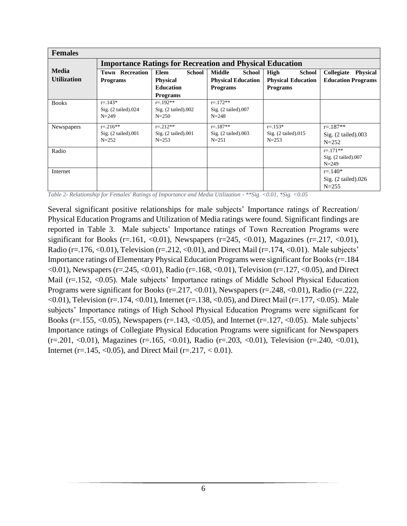| <b>Females</b>     |                                                                 |                                                           |                                                   |                                                           |                                                           |  |  |
|--------------------|-----------------------------------------------------------------|-----------------------------------------------------------|---------------------------------------------------|-----------------------------------------------------------|-----------------------------------------------------------|--|--|
|                    | <b>Importance Ratings for Recreation and Physical Education</b> |                                                           |                                                   |                                                           |                                                           |  |  |
| <b>Media</b>       | <b>Town Recreation</b>                                          | <b>School</b><br>Elem                                     | <b>Middle</b><br><b>School</b>                    | <b>High</b><br><b>School</b>                              | Collegiate<br><b>Physical</b>                             |  |  |
| <b>Utilization</b> | <b>Programs</b>                                                 | <b>Physical</b>                                           | <b>Physical Education</b>                         | <b>Physical Education</b>                                 | <b>Education Programs</b>                                 |  |  |
|                    |                                                                 | <b>Education</b>                                          | <b>Programs</b>                                   | <b>Programs</b>                                           |                                                           |  |  |
|                    |                                                                 | <b>Programs</b>                                           |                                                   |                                                           |                                                           |  |  |
| <b>Books</b>       | $r = .143*$<br>Sig. $(2 \text{ tailed})$ .024<br>$N = 249$      | $r = 192**$<br>Sig. $(2 \text{ tailed}).002$<br>$N = 250$ | $r = 172**$<br>$Sig.$ (2 tailed).007<br>$N = 248$ |                                                           |                                                           |  |  |
| <b>Newspapers</b>  | $r = 216$ **<br>$Sig. (2-tailed).001$<br>$N = 252$              | $r = 212**$<br>$Sig.$ (2 tailed).001<br>$N = 253$         | $r = 187**$<br>$Sig. (2-tailed).003$<br>$N = 251$ | $r = 153*$<br>Sig. $(2 \text{ tailed})$ .015<br>$N = 253$ | $r = 187**$<br>$Sig.$ (2 tailed).003<br>$N = 252$         |  |  |
| Radio              |                                                                 |                                                           |                                                   |                                                           | $r = 171**$<br>$Sig.$ (2 tailed).007<br>$N = 249$         |  |  |
| Internet           |                                                                 |                                                           |                                                   |                                                           | $r = 140*$<br>Sig. $(2 \text{ tailed})$ .026<br>$N = 255$ |  |  |

*Table 2- Relationship for Females' Ratings of Importance and Media Utilization - \*\*Sig. <0.01, \*Sig. <0.05*

Several significant positive relationships for male subjects' Importance ratings of Recreation/ Physical Education Programs and Utilization of Media ratings were found. Significant findings are reported in Table 3. Male subjects' Importance ratings of Town Recreation Programs were significant for Books (r=.161, <0.01), Newspapers (r=245, <0.01), Magazines (r=.217, <0.01), Radio (r=.176, <0.01), Television (r=.212, <0.01), and Direct Mail (r=.174, <0.01). Male subjects' Importance ratings of Elementary Physical Education Programs were significant for Books (r=.184  $\langle 0.01 \rangle$ , Newspapers (r=.245,  $\langle 0.01 \rangle$ , Radio (r=.168,  $\langle 0.01 \rangle$ , Television (r=.127,  $\langle 0.05 \rangle$ ), and Direct Mail (r=.152, <0.05). Male subjects' Importance ratings of Middle School Physical Education Programs were significant for Books (r=.217, <0.01), Newspapers (r=.248, <0.01), Radio (r=.222,  $\leq 0.01$ ), Television (r=.174,  $\leq 0.01$ ), Internet (r=.138,  $\leq 0.05$ ), and Direct Mail (r=.177,  $\leq 0.05$ ). Male subjects' Importance ratings of High School Physical Education Programs were significant for Books (r=.155, <0.05), Newspapers (r=.143, <0.05), and Internet (r=.127, <0.05). Male subjects' Importance ratings of Collegiate Physical Education Programs were significant for Newspapers (r=.201, <0.01), Magazines (r=.165, <0.01), Radio (r=.203, <0.01), Television (r=.240, <0.01), Internet (r=.145, <0.05), and Direct Mail (r=.217, <0.01).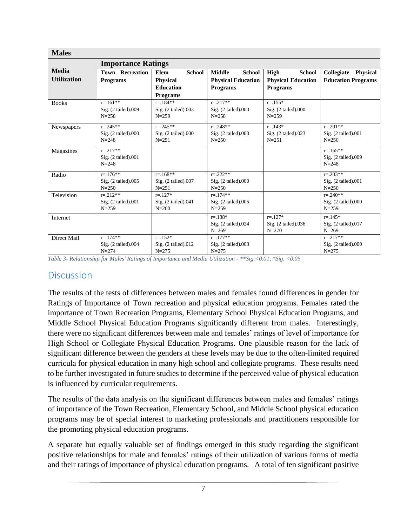| <b>Males</b>                       |                                                  |                                                                                        |                                                                                |                                                                       |                                                   |  |  |
|------------------------------------|--------------------------------------------------|----------------------------------------------------------------------------------------|--------------------------------------------------------------------------------|-----------------------------------------------------------------------|---------------------------------------------------|--|--|
|                                    | <b>Importance Ratings</b>                        |                                                                                        |                                                                                |                                                                       |                                                   |  |  |
| <b>Media</b><br><b>Utilization</b> | <b>Town Recreation</b><br><b>Programs</b>        | <b>School</b><br><b>Elem</b><br><b>Physical</b><br><b>Education</b><br><b>Programs</b> | <b>Middle</b><br><b>School</b><br><b>Physical Education</b><br><b>Programs</b> | High<br><b>School</b><br><b>Physical Education</b><br><b>Programs</b> | Collegiate Physical<br><b>Education Programs</b>  |  |  |
| <b>Books</b>                       | $r = 161**$<br>Sig. (2 tailed).009<br>$N = 258$  | $r = 184**$<br>Sig. (2 tailed).003<br>$N = 259$                                        | $r = 217**$<br>Sig. (2 tailed).000<br>$N = 258$                                | $r = 1.55*$<br>$Sig.$ (2 tailed).000<br>$N = 259$                     |                                                   |  |  |
| Newspapers                         | $r = 245**$<br>Sig. (2 tailed).000<br>$N = 248$  | $r = 245**$<br>Sig. (2 tailed).000<br>$N = 251$                                        | $r = 248**$<br>$Sig.$ (2 tailed).000<br>$N = 250$                              | $r = 143*$<br>Sig. (2 tailed).023<br>$N = 251$                        | $r = 201**$<br>Sig. (2 tailed).001<br>$N = 250$   |  |  |
| Magazines                          | $r = 217**$<br>Sig. (2 tailed).001<br>$N = 248$  |                                                                                        |                                                                                |                                                                       | $r = 165**$<br>$Sig.$ (2 tailed).009<br>$N = 248$ |  |  |
| Radio                              | $r = 176$ **<br>Sig. (2 tailed).005<br>$N = 250$ | $r = 168**$<br>Sig. (2 tailed).007<br>$N = 251$                                        | $r = 222**$<br>Sig. (2 tailed).000<br>$N = 250$                                |                                                                       | $r = 0.203**$<br>Sig. (2 tailed).001<br>$N = 250$ |  |  |
| Television                         | $r = 212**$<br>Sig. (2 tailed).001<br>$N = 259$  | $r = 127*$<br>Sig. (2 tailed).041<br>$N = 260$                                         | $r = 174**$<br>Sig. (2 tailed).005<br>$N = 259$                                |                                                                       | $r = 240**$<br>Sig. (2 tailed).000<br>$N = 259$   |  |  |
| Internet                           |                                                  |                                                                                        | $r = 138*$<br>Sig. (2 tailed).024<br>$N = 269$                                 | $r = 127*$<br>Sig. $(2 \text{ tailed})$ .036<br>$N = 270$             | $r = 145*$<br>Sig. (2 tailed).017<br>$N = 269$    |  |  |
| Direct Mail                        | $r = 174**$<br>Sig. (2 tailed).004<br>$N = 274$  | $r = 152*$<br>$Sig.$ (2 tailed).012<br>$N = 275$                                       | $r = 177**$<br>Sig. (2 tailed).003<br>$N = 275$                                |                                                                       | $r = 217**$<br>Sig. (2 tailed).000<br>$N = 275$   |  |  |

*Table 3- Relationship for Males' Ratings of Importance and Media Utilization - \*\*Sig.<0.01, \*Sig. <0.05*

#### **Discussion**

The results of the tests of differences between males and females found differences in gender for Ratings of Importance of Town recreation and physical education programs. Females rated the importance of Town Recreation Programs, Elementary School Physical Education Programs, and Middle School Physical Education Programs significantly different from males. Interestingly, there were no significant differences between male and females' ratings of level of importance for High School or Collegiate Physical Education Programs. One plausible reason for the lack of significant difference between the genders at these levels may be due to the often-limited required curricula for physical education in many high school and collegiate programs. These results need to be further investigated in future studies to determine if the perceived value of physical education is influenced by curricular requirements.

The results of the data analysis on the significant differences between males and females' ratings of importance of the Town Recreation, Elementary School, and Middle School physical education programs may be of special interest to marketing professionals and practitioners responsible for the promoting physical education programs.

A separate but equally valuable set of findings emerged in this study regarding the significant positive relationships for male and females' ratings of their utilization of various forms of media and their ratings of importance of physical education programs. A total of ten significant positive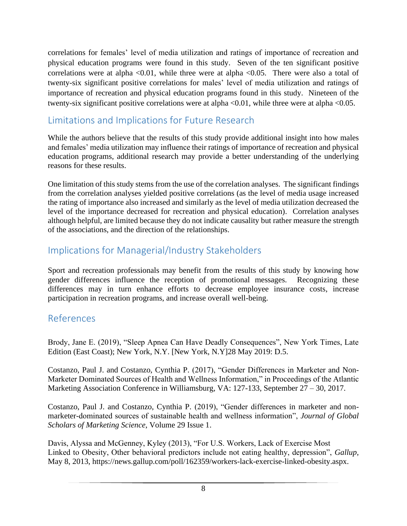correlations for females' level of media utilization and ratings of importance of recreation and physical education programs were found in this study. Seven of the ten significant positive correlations were at alpha  $\leq 0.01$ , while three were at alpha  $\leq 0.05$ . There were also a total of twenty-six significant positive correlations for males' level of media utilization and ratings of importance of recreation and physical education programs found in this study. Nineteen of the twenty-six significant positive correlations were at alpha <0.01, while three were at alpha <0.05.

# Limitations and Implications for Future Research

While the authors believe that the results of this study provide additional insight into how males and females' media utilization may influence their ratings of importance of recreation and physical education programs, additional research may provide a better understanding of the underlying reasons for these results.

One limitation of this study stems from the use of the correlation analyses. The significant findings from the correlation analyses yielded positive correlations (as the level of media usage increased the rating of importance also increased and similarly as the level of media utilization decreased the level of the importance decreased for recreation and physical education). Correlation analyses although helpful, are limited because they do not indicate causality but rather measure the strength of the associations, and the direction of the relationships.

# Implications for Managerial/Industry Stakeholders

Sport and recreation professionals may benefit from the results of this study by knowing how gender differences influence the reception of promotional messages. Recognizing these differences may in turn enhance efforts to decrease employee insurance costs, increase participation in recreation programs, and increase overall well-being.

# References

Brody, Jane E. (2019), "Sleep Apnea Can Have Deadly Consequences", New York Times, Late Edition (East Coast); New York, N.Y. [New York, N.Y]28 May 2019: D.5.

Costanzo, Paul J. and Costanzo, Cynthia P. (2017), "Gender Differences in Marketer and Non-Marketer Dominated Sources of Health and Wellness Information," in Proceedings of the Atlantic Marketing Association Conference in Williamsburg, VA: 127-133, September 27 – 30, 2017.

Costanzo, Paul J. and Costanzo, Cynthia P. (2019), "Gender differences in marketer and nonmarketer-dominated sources of sustainable health and wellness information", *Journal of Global Scholars of Marketing Science*, Volume 29 Issue 1.

Davis, Alyssa and McGenney, Kyley (2013), "For U.S. Workers, Lack of Exercise Most Linked to Obesity, Other behavioral predictors include not eating healthy, depression", *Gallup*, May 8, 2013, https://news.gallup.com/poll/162359/workers-lack-exercise-linked-obesity.aspx.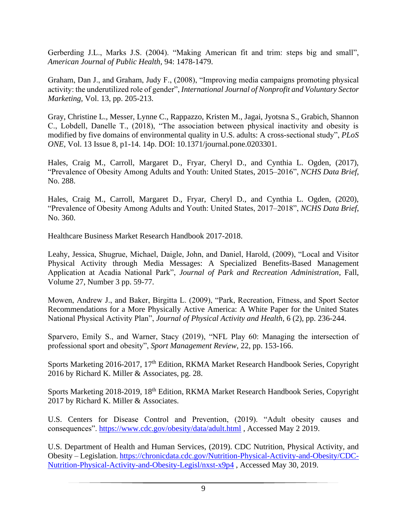Gerberding J.L., Marks J.S. (2004). "Making American fit and trim: steps big and small", *American Journal of Public Health,* 94: 1478-1479.

Graham, Dan J., and Graham, Judy F., (2008), "Improving media campaigns promoting physical activity: the underutilized role of gender", *International Journal of Nonprofit and Voluntary Sector Marketing,* Vol. 13, pp. 205-213.

Gray, Christine L., Messer, Lynne C., Rappazzo, Kristen M., Jagai, Jyotsna S., Grabich, Shannon C., Lobdell, Danelle T., (2018), "The association between physical inactivity and obesity is modified by five domains of environmental quality in U.S. adults: A cross-sectional study", *PLoS ONE*, Vol. 13 Issue 8, p1-14. 14p. DOI: 10.1371/journal.pone.0203301.

Hales, Craig M., Carroll, Margaret D., Fryar, Cheryl D., and Cynthia L. Ogden, (2017), "Prevalence of Obesity Among Adults and Youth: United States, 2015–2016", *NCHS Data Brief*, No. 288.

Hales, Craig M., Carroll, Margaret D., Fryar, Cheryl D., and Cynthia L. Ogden, (2020), "Prevalence of Obesity Among Adults and Youth: United States, 2017–2018", *NCHS Data Brief*, No. 360.

Healthcare Business Market Research Handbook 2017-2018.

Leahy, Jessica, Shugrue, Michael, Daigle, John, and Daniel, Harold, (2009), "Local and Visitor Physical Activity through Media Messages: A Specialized Benefits-Based Management Application at Acadia National Park", *Journal of Park and Recreation Administration*, Fall, Volume 27, Number 3 pp. 59-77.

Mowen, Andrew J., and Baker, Birgitta L. (2009), "Park, Recreation, Fitness, and Sport Sector Recommendations for a More Physically Active America: A White Paper for the United States National Physical Activity Plan", *Journal of Physical Activity and Health*, 6 (2), pp. 236-244.

Sparvero, Emily S., and Warner, Stacy (2019), "NFL Play 60: Managing the intersection of professional sport and obesity", *Sport Management Review*, 22, pp. 153-166.

Sports Marketing 2016-2017, 17<sup>th</sup> Edition, RKMA Market Research Handbook Series, Copyright 2016 by Richard K. Miller & Associates, pg. 28.

Sports Marketing 2018-2019, 18<sup>th</sup> Edition, RKMA Market Research Handbook Series, Copyright 2017 by Richard K. Miller & Associates.

U.S. Centers for Disease Control and Prevention, (2019). "Adult obesity causes and consequences".<https://www.cdc.gov/obesity/data/adult.html> , Accessed May 2 2019.

U.S. Department of Health and Human Services, (2019). CDC Nutrition, Physical Activity, and Obesity – Legislation. [https://chronicdata.cdc.gov/Nutrition-Physical-Activity-and-Obesity/CDC-](https://chronicdata.cdc.gov/Nutrition-Physical-Activity-and-Obesity/CDC-Nutrition-Physical-Activity-and-Obesity-Legisl/nxst-x9p4)[Nutrition-Physical-Activity-and-Obesity-Legisl/nxst-x9p4](https://chronicdata.cdc.gov/Nutrition-Physical-Activity-and-Obesity/CDC-Nutrition-Physical-Activity-and-Obesity-Legisl/nxst-x9p4) , Accessed May 30, 2019.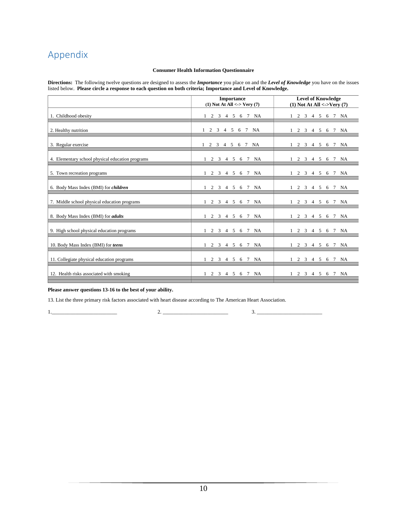# Appendix

#### **Consumer Health Information Questionnaire**

**Directions:** The following twelve questions are designed to assess the *Importance* you place on and the *Level of Knowledge* you have on the issues listed below. **Please circle a response to each question on both criteria; Importance and Level of Knowledge.** 

|                                                  | <b>Importance</b><br>$(1)$ Not At All <-> Very $(7)$ | <b>Level of Knowledge</b><br>$(1)$ Not At All <->Very $(7)$   |
|--------------------------------------------------|------------------------------------------------------|---------------------------------------------------------------|
| 1. Childhood obesity                             | 1 2 3 4 5 6 7 NA                                     | 1 2 3 4 5 6 7 NA                                              |
| 2. Healthy nutrition                             | 1 2 3 4 5 6 7<br><b>NA</b>                           | 2 3 4 5 6 7<br>NA                                             |
| 3. Regular exercise                              | 1 2 3 4 5 6 7 NA                                     | 1 2 3 4 5 6 7<br>NA                                           |
| 4. Elementary school physical education programs | 1 2 3 4 5 6 7<br><b>NA</b>                           | 1 2 3 4 5 6 7 NA                                              |
| 5. Town recreation programs                      | 1 2 3 4 5 6 7<br>NA                                  | 1 2 3 4 5 6 7<br>NA                                           |
| 6. Body Mass Index (BMI) for children            | 1 2 3 4 5 6 7 NA                                     | 1 2 3 4 5 6 7 NA                                              |
| 7. Middle school physical education programs     | 1 2 3 4 5 6 7 NA                                     | 1 2 3 4 5 6 7 NA                                              |
| 8. Body Mass Index (BMI) for <i>adults</i>       | 1 2 3 4 5 6 7 NA                                     | 1 2 3 4 5 6 7 NA                                              |
| 9. High school physical education programs       | 2 3 4 5 6 7<br>NA                                    | 2 3 4 5 6 7<br>NA                                             |
| 10. Body Mass Index (BMI) for teens              | 1 2 3 4 5 6 7 NA                                     | 1 2 3 4 5 6 7 NA                                              |
| 11. Collegiate physical education programs       | 2 3 4 5 6 7<br><b>NA</b>                             | 1 2 3 4 5 6 7 NA                                              |
| 12. Health risks associated with smoking         | 3 4 5<br><b>NA</b><br>$\mathbf{1}$<br>2<br>6 7       | 4 5 6 7<br>$\mathbf{1}$<br>2<br>$\overline{\mathbf{3}}$<br>NA |

**Please answer questions 13-16 to the best of your ability.**

13. List the three primary risk factors associated with heart disease according to The American Heart Association.

1.\_\_\_\_\_\_\_\_\_\_\_\_\_\_\_\_\_\_\_\_\_\_\_\_\_ 2. \_\_\_\_\_\_\_\_\_\_\_\_\_\_\_\_\_\_\_\_\_\_\_\_\_ 3. \_\_\_\_\_\_\_\_\_\_\_\_\_\_\_\_\_\_\_\_\_\_\_\_\_